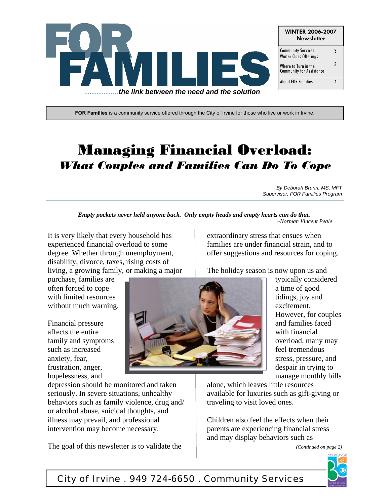

**FOR Families** is a community service offered through the City of Irvine for those who live or work in Irvine.

# Managing Financial Overload: *What Couples and Families Can Do To Cope*

*By Deborah Brunn, MS, MFT Supervisor, FOR Families Program* 

*Empty pockets never held anyone back. Only empty heads and empty hearts can do that. ~Norman Vincent Peale*

It is very likely that every household has experienced financial overload to some degree. Whether through unemployment, disability, divorce, taxes, rising costs of living, a growing family, or making a major

purchase, families are often forced to cope with limited resources without much warning.

Financial pressure affects the entire family and symptoms such as increased anxiety, fear, frustration, anger, hopelessness, and



typically considered a time of good tidings, joy and excitement. However, for couples and families faced with financial overload, many may feel tremendous stress, pressure, and despair in trying to manage monthly bills

depression should be monitored and taken seriously. In severe situations, unhealthy behaviors such as family violence, drug and/ or alcohol abuse, suicidal thoughts, and illness may prevail, and professional intervention may become necessary.

The goal of this newsletter is to validate the

alone, which leaves little resources available for luxuries such as gift-giving or traveling to visit loved ones.

Children also feel the effects when their parents are experiencing financial stress and may display behaviors such as

*(Continued on page 2)* 



City of Irvine . 949 724-6650 . Community Services

extraordinary stress that ensues when families are under financial strain, and to offer suggestions and resources for coping.

The holiday season is now upon us and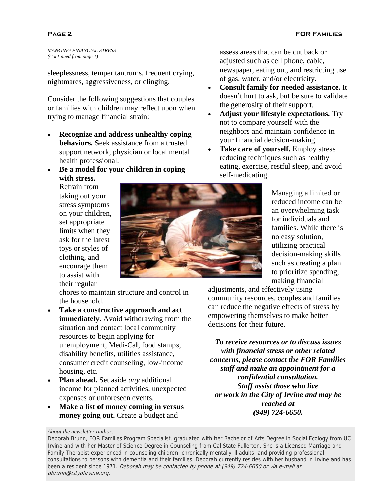*MANGING FINANCIAL STRESS (Continued from page 1)* 

sleeplessness, temper tantrums, frequent crying, nightmares, aggressiveness, or clinging.

Consider the following suggestions that couples or families with children may reflect upon when trying to manage financial strain:

- **Recognize and address unhealthy coping behaviors.** Seek assistance from a trusted support network, physician or local mental health professional.
- **Be a model for your children in coping with stress.**

Refrain from taking out your stress symptoms on your children, set appropriate limits when they ask for the latest toys or styles of clothing, and encourage them to assist with their regular

chores to maintain structure and control in the household.

- **Take a constructive approach and act immediately.** Avoid withdrawing from the situation and contact local community resources to begin applying for unemployment, Medi-Cal, food stamps, disability benefits, utilities assistance, consumer credit counseling, low-income housing, etc.
- **Plan ahead.** Set aside *any* additional income for planned activities, unexpected expenses or unforeseen events.
- **Make a list of money coming in versus money going out.** Create a budget and

assess areas that can be cut back or adjusted such as cell phone, cable, newspaper, eating out, and restricting use of gas, water, and/or electricity.

- **Consult family for needed assistance.** It doesn't hurt to ask, but be sure to validate the generosity of their support.
- **Adjust your lifestyle expectations.** Try not to compare yourself with the neighbors and maintain confidence in your financial decision-making.
- **Take care of yourself.** Employ stress reducing techniques such as healthy eating, exercise, restful sleep, and avoid self-medicating.

Managing a limited or reduced income can be an overwhelming task for individuals and families. While there is no easy solution, utilizing practical decision-making skills such as creating a plan to prioritize spending, making financial

adjustments, and effectively using community resources, couples and families can reduce the negative effects of stress by empowering themselves to make better decisions for their future.

*To receive resources or to discuss issues with financial stress or other related concerns, please contact the FOR Families staff and make an appointment for a confidential consultation. Staff assist those who live or work in the City of Irvine and may be reached at (949) 724-6650.*

#### *About the newsletter author:*



Deborah Brunn, FOR Families Program Specialist, graduated with her Bachelor of Arts Degree in Social Ecology from UC Irvine and with her Master of Science Degree in Counseling from Cal State Fullerton. She is a Licensed Marriage and Family Therapist experienced in counseling children, chronically mentally ill adults, and providing professional consultations to persons with dementia and their families. Deborah currently resides with her husband in Irvine and has been a resident since 1971. Deborah may be contacted by phone at (949) 724-6650 or via e-mail at dbrunn@cityofirvine.org.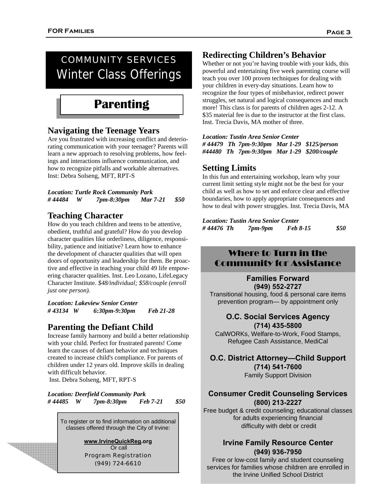## COMMUNITY SERVICES Winter Class Offerings

## **Parenting**

#### **Navigating the Teenage Years**

Are you frustrated with increasing conflict and deteriorating communication with your teenager? Parents will learn a new approach to resolving problems, how feelings and interactions influence communication, and how to recognize pitfalls and workable alternatives. Inst: Debra Solseng, MFT, RPT-S

|         |   | <b>Location: Turtle Rock Community Park</b> |          |     |
|---------|---|---------------------------------------------|----------|-----|
| # 44484 | W | 7 <i>pm-8:30pm</i>                          | Mar 7-21 | S50 |

#### **Teaching Character**

How do you teach children and teens to be attentive, obedient, truthful and grateful? How do you develop character qualities like orderliness, diligence, responsibility, patience and initiative? Learn how to enhance the development of character qualities that will open doors of opportunity and leadership for them. Be proactive and effective in teaching your child 49 life empowering character qualities. Inst. Leo Lozano, LifeLegacy Character Institute. *\$48/individual; \$58/couple (enroll just one person).*

*Location: Lakeview Senior Center # 43134 W 6:30pm-9:30pm Feb 21-28* 

#### **Parenting the Defiant Child**

Increase family harmony and build a better relationship with your child. Perfect for frustrated parents! Come learn the causes of defiant behavior and techniques created to increase child's compliance. For parents of children under 12 years old. Improve skills in dealing with difficult behavior.

Inst. Debra Solseng, MFT, RPT-S

*Location: Deerfield Community Park # 44485 W 7pm-8:30pm Feb 7-21 \$50* 

To register or to find information on additional classes offered through the City of Irvine:

> **www.IrvineQuickReg.org**  Or call Program Registration (949) 724-6610

### **Redirecting Children's Behavior**

Whether or not you're having trouble with your kids, this powerful and entertaining five week parenting course will teach you over 100 proven techniques for dealing with your children in every-day situations. Learn how to recognize the four types of misbehavior, redirect power struggles, set natural and logical consequences and much more! This class is for parents of children ages 2-12. A \$35 material fee is due to the instructor at the first class. Inst. Trecia Davis, MA mother of three.

*Location: Tustin Area Senior Center # 44479 Th 7pm-9:30pm Mar 1-29 \$125/person #44480 Th 7pm-9:30pm Mar 1-29 \$200/couple* 

#### **Setting Limits**

In this fun and entertaining workshop, learn why your current limit setting style might not be the best for your child as well as how to set and enforce clear and effective boundaries, how to apply appropriate consequences and how to deal with power struggles. Inst. Trecia Davis, MA

*Location: Tustin Area Senior Center # 44476 Th 7pm-9pm Feb 8-15 \$50*

### Where to Turn in the Community for Assistance

**Families Forward (949) 552-2727** 

Transitional housing, food & personal care items prevention program— by appointment only

#### **O.C. Social Services Agency (714) 435-5800**

CalWORKs, Welfare-to-Work, Food Stamps, Refugee Cash Assistance, MediCal

#### **O.C. District Attorney—Child Support (714) 541-7600**

Family Support Division

#### **Consumer Credit Counseling Services (800) 213-2227**

Free budget & credit counseling; educational classes for adults experiencing financial difficulty with debt or credit

#### **Irvine Family Resource Center (949) 936-7950**

Free or low-cost family and student counseling services for families whose children are enrolled in the Irvine Unified School District